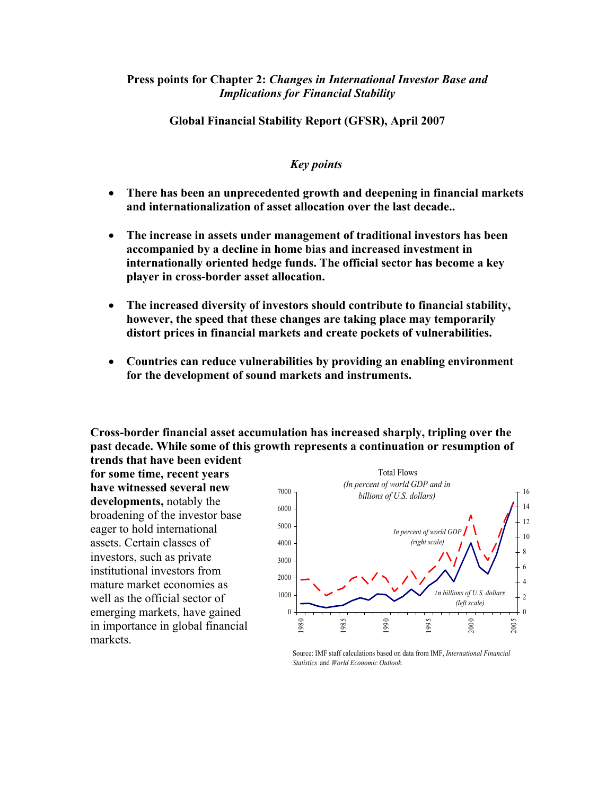## **Press points for Chapter 2:** *Changes in International Investor Base and Implications for Financial Stability*

**Global Financial Stability Report (GFSR), April 2007** 

## *Key points*

- **There has been an unprecedented growth and deepening in financial markets and internationalization of asset allocation over the last decade..**
- **The increase in assets under management of traditional investors has been accompanied by a decline in home bias and increased investment in internationally oriented hedge funds. The official sector has become a key player in cross-border asset allocation.**
- **The increased diversity of investors should contribute to financial stability, however, the speed that these changes are taking place may temporarily distort prices in financial markets and create pockets of vulnerabilities.**
- **Countries can reduce vulnerabilities by providing an enabling environment for the development of sound markets and instruments.**

**Cross-border financial asset accumulation has increased sharply, tripling over the past decade. While some of this growth represents a continuation or resumption of trends that have been evident** 

**for some time, recent years have witnessed several new developments,** notably the broadening of the investor base eager to hold international assets. Certain classes of investors, such as private institutional investors from mature market economies as well as the official sector of emerging markets, have gained in importance in global financial markets.



Source: IMF staff calculations based on data from IMF, *International Financial Statistics* and *World Economic Outlook.*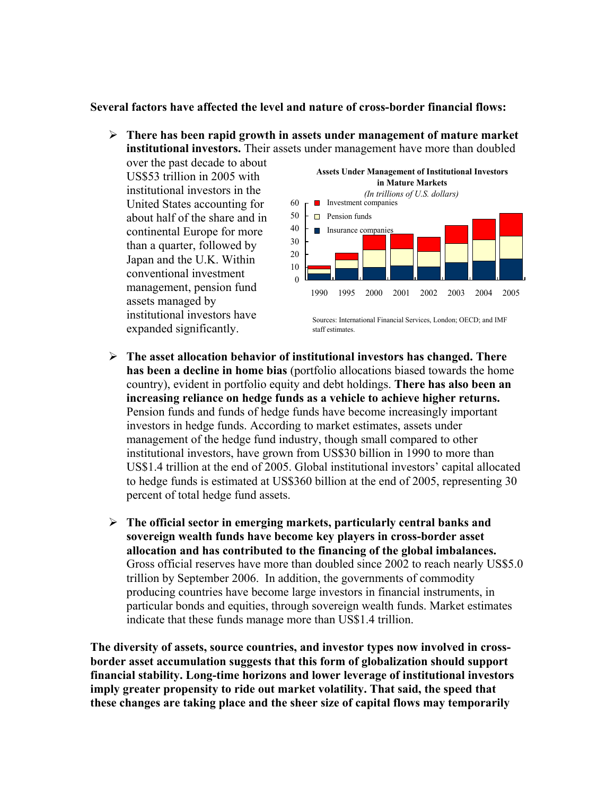## **Several factors have affected the level and nature of cross-border financial flows:**

¾ **There has been rapid growth in assets under management of mature market institutional investors.** Their assets under management have more than doubled

over the past decade to about US\$53 trillion in 2005 with institutional investors in the United States accounting for about half of the share and in continental Europe for more than a quarter, followed by Japan and the U.K. Within conventional investment management, pension fund assets managed by institutional investors have expanded significantly.



Sources: International Financial Services, London; OECD; and IMF staff estimates.

- ¾ **The asset allocation behavior of institutional investors has changed. There has been a decline in home bias** (portfolio allocations biased towards the home country), evident in portfolio equity and debt holdings. **There has also been an increasing reliance on hedge funds as a vehicle to achieve higher returns.**  Pension funds and funds of hedge funds have become increasingly important investors in hedge funds. According to market estimates, assets under management of the hedge fund industry, though small compared to other institutional investors, have grown from US\$30 billion in 1990 to more than US\$1.4 trillion at the end of 2005. Global institutional investors' capital allocated to hedge funds is estimated at US\$360 billion at the end of 2005, representing 30 percent of total hedge fund assets.
- ¾ **The official sector in emerging markets, particularly central banks and sovereign wealth funds have become key players in cross-border asset allocation and has contributed to the financing of the global imbalances.** Gross official reserves have more than doubled since 2002 to reach nearly US\$5.0 trillion by September 2006. In addition, the governments of commodity producing countries have become large investors in financial instruments, in particular bonds and equities, through sovereign wealth funds. Market estimates indicate that these funds manage more than US\$1.4 trillion.

**The diversity of assets, source countries, and investor types now involved in crossborder asset accumulation suggests that this form of globalization should support financial stability. Long-time horizons and lower leverage of institutional investors imply greater propensity to ride out market volatility. That said, the speed that these changes are taking place and the sheer size of capital flows may temporarily**